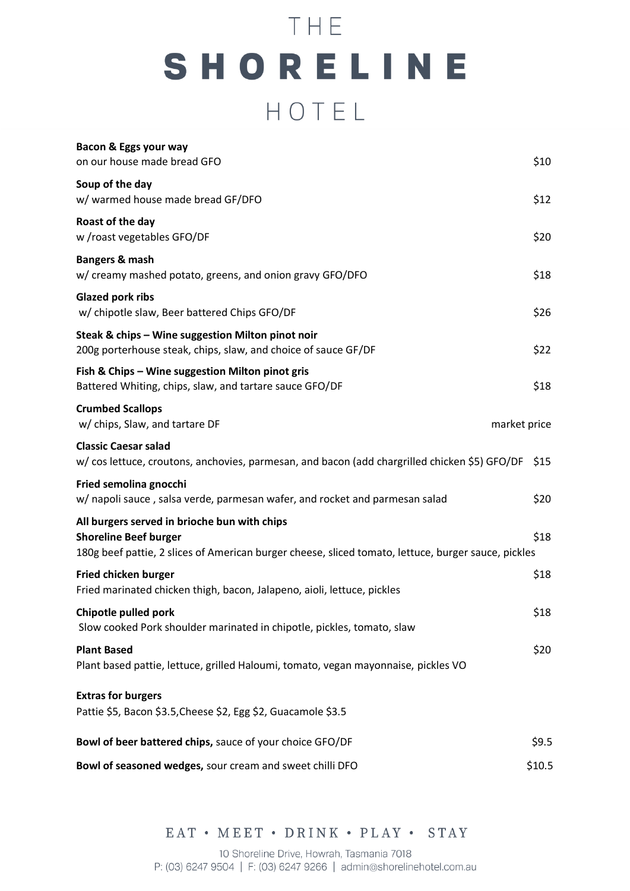# THE SHORELINE HOTEL

| Bacon & Eggs your way<br>on our house made bread GFO                                                                                                                                | \$10         |
|-------------------------------------------------------------------------------------------------------------------------------------------------------------------------------------|--------------|
| Soup of the day<br>w/ warmed house made bread GF/DFO                                                                                                                                | \$12         |
| Roast of the day<br>w /roast vegetables GFO/DF                                                                                                                                      | \$20         |
| Bangers & mash<br>w/ creamy mashed potato, greens, and onion gravy GFO/DFO                                                                                                          | \$18         |
| <b>Glazed pork ribs</b><br>w/ chipotle slaw, Beer battered Chips GFO/DF                                                                                                             | \$26         |
| Steak & chips - Wine suggestion Milton pinot noir<br>200g porterhouse steak, chips, slaw, and choice of sauce GF/DF                                                                 | \$22         |
| Fish & Chips - Wine suggestion Milton pinot gris<br>Battered Whiting, chips, slaw, and tartare sauce GFO/DF                                                                         | \$18         |
| <b>Crumbed Scallops</b><br>w/ chips, Slaw, and tartare DF                                                                                                                           | market price |
| <b>Classic Caesar salad</b><br>w/ cos lettuce, croutons, anchovies, parmesan, and bacon (add chargrilled chicken \$5) GFO/DF                                                        | \$15         |
| Fried semolina gnocchi<br>w/ napoli sauce, salsa verde, parmesan wafer, and rocket and parmesan salad                                                                               | \$20         |
| All burgers served in brioche bun with chips<br><b>Shoreline Beef burger</b><br>180g beef pattie, 2 slices of American burger cheese, sliced tomato, lettuce, burger sauce, pickles | \$18         |
| <b>Fried chicken burger</b><br>Fried marinated chicken thigh, bacon, Jalapeno, aioli, lettuce, pickles                                                                              | \$18         |
| Chipotle pulled pork<br>Slow cooked Pork shoulder marinated in chipotle, pickles, tomato, slaw                                                                                      | \$18         |
| <b>Plant Based</b><br>Plant based pattie, lettuce, grilled Haloumi, tomato, vegan mayonnaise, pickles VO                                                                            | \$20         |
| <b>Extras for burgers</b><br>Pattie \$5, Bacon \$3.5, Cheese \$2, Egg \$2, Guacamole \$3.5                                                                                          |              |
| Bowl of beer battered chips, sauce of your choice GFO/DF                                                                                                                            | \$9.5        |
| Bowl of seasoned wedges, sour cream and sweet chilli DFO                                                                                                                            | \$10.5       |

EAT • MEET • DRINK • PLAY • STAY